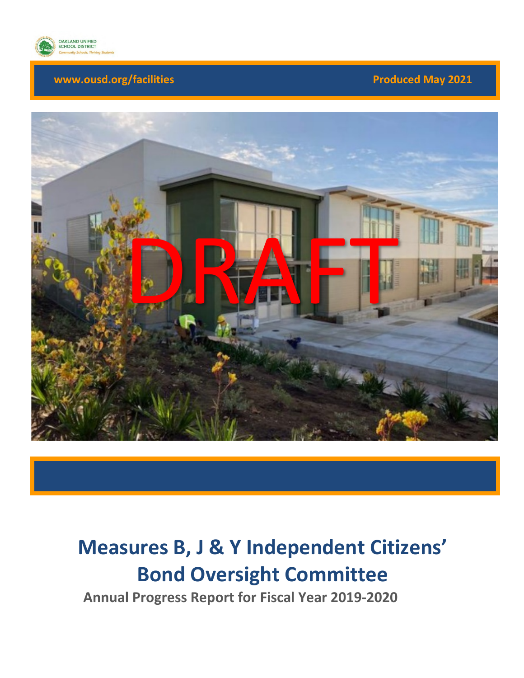

### **www.ousd.org/facilities** *Produced May 2021*



# **Measures B, J & Y Independent Citizens' Bond Oversight Committee**

**Annual Progress Report for Fiscal Year 2019-2020**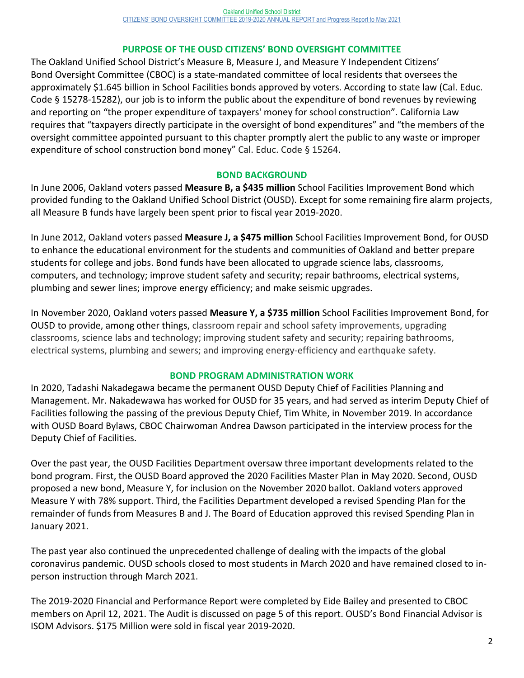#### **PURPOSE OF THE OUSD CITIZENS' BOND OVERSIGHT COMMITTEE**

The Oakland Unified School District's Measure B, Measure J, and Measure Y Independent Citizens' Bond Oversight Committee (CBOC) is a state-mandated committee of local residents that oversees the approximately \$1.645 billion in School Facilities bonds approved by voters. According to state law (Cal. Educ. Code § 15278-15282), our job is to inform the public about the expenditure of bond revenues by reviewing and reporting on "the proper expenditure of taxpayers' money for school construction". California Law requires that "taxpayers directly participate in the oversight of bond expenditures" and "the members of the oversight committee appointed pursuant to this chapter promptly alert the public to any waste or improper expenditure of school construction bond money" Cal. Educ. Code § 15264.

#### **BOND BACKGROUND**

In June 2006, Oakland voters passed **Measure B, a \$435 million** School Facilities Improvement Bond which provided funding to the Oakland Unified School District (OUSD). Except for some remaining fire alarm projects, all Measure B funds have largely been spent prior to fiscal year 2019-2020.

In June 2012, Oakland voters passed **Measure J, a \$475 million** School Facilities Improvement Bond, for OUSD to enhance the educational environment for the students and communities of Oakland and better prepare students for college and jobs. Bond funds have been allocated to upgrade science labs, classrooms, computers, and technology; improve student safety and security; repair bathrooms, electrical systems, plumbing and sewer lines; improve energy efficiency; and make seismic upgrades.

In November 2020, Oakland voters passed **Measure Y, a \$735 million** School Facilities Improvement Bond, for OUSD to provide, among other things, classroom repair and school safety improvements, upgrading classrooms, science labs and technology; improving student safety and security; repairing bathrooms, electrical systems, plumbing and sewers; and improving energy-efficiency and earthquake safety.

#### **BOND PROGRAM ADMINISTRATION WORK**

In 2020, Tadashi Nakadegawa became the permanent OUSD Deputy Chief of Facilities Planning and Management. Mr. Nakadewawa has worked for OUSD for 35 years, and had served as interim Deputy Chief of Facilities following the passing of the previous Deputy Chief, Tim White, in November 2019. In accordance with OUSD Board Bylaws, CBOC Chairwoman Andrea Dawson participated in the interview process for the Deputy Chief of Facilities.

Over the past year, the OUSD Facilities Department oversaw three important developments related to the bond program. First, the OUSD Board approved the 2020 Facilities Master Plan in May 2020. Second, OUSD proposed a new bond, Measure Y, for inclusion on the November 2020 ballot. Oakland voters approved Measure Y with 78% support. Third, the Facilities Department developed a revised Spending Plan for the remainder of funds from Measures B and J. The Board of Education approved this revised Spending Plan in January 2021.

The past year also continued the unprecedented challenge of dealing with the impacts of the global coronavirus pandemic. OUSD schools closed to most students in March 2020 and have remained closed to inperson instruction through March 2021.

The 2019-2020 Financial and Performance Report were completed by Eide Bailey and presented to CBOC members on April 12, 2021. The Audit is discussed on page 5 of this report. OUSD's Bond Financial Advisor is ISOM Advisors. \$175 Million were sold in fiscal year 2019-2020.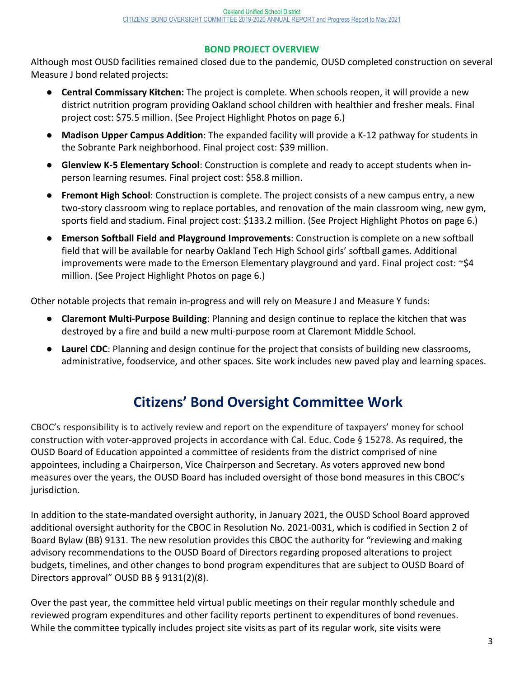#### **BOND PROJECT OVERVIEW**

Although most OUSD facilities remained closed due to the pandemic, OUSD completed construction on several Measure J bond related projects:

- **Central Commissary Kitchen:** The project is complete. When schools reopen, it will provide a new district nutrition program providing Oakland school children with healthier and fresher meals. Final project cost: \$75.5 million. (See Project Highlight Photos on page 6.)
- **Madison Upper Campus Addition**: The expanded facility will provide a K-12 pathway for students in the Sobrante Park neighborhood. Final project cost: \$39 million.
- **Glenview K-5 Elementary School**: Construction is complete and ready to accept students when inperson learning resumes. Final project cost: \$58.8 million.
- **Fremont High School**: Construction is complete. The project consists of a new campus entry, a new two-story classroom wing to replace portables, and renovation of the main classroom wing, new gym, sports field and stadium. Final project cost: \$133.2 million. (See Project Highlight Photos on page 6.)
- **Emerson Softball Field and Playground Improvements**: Construction is complete on a new softball field that will be available for nearby Oakland Tech High School girls' softball games. Additional improvements were made to the Emerson Elementary playground and yard. Final project cost: ~\$4 million. (See Project Highlight Photos on page 6.)

Other notable projects that remain in-progress and will rely on Measure J and Measure Y funds:

- **Claremont Multi-Purpose Building**: Planning and design continue to replace the kitchen that was destroyed by a fire and build a new multi-purpose room at Claremont Middle School.
- **Laurel CDC**: Planning and design continue for the project that consists of building new classrooms, administrative, foodservice, and other spaces. Site work includes new paved play and learning spaces.

# **Citizens' Bond Oversight Committee Work**

CBOC's responsibility is to actively review and report on the expenditure of taxpayers' money for school construction with voter-approved projects in accordance with Cal. Educ. Code § 15278. As required, the OUSD Board of Education appointed a committee of residents from the district comprised of nine appointees, including a Chairperson, Vice Chairperson and Secretary. As voters approved new bond measures over the years, the OUSD Board has included oversight of those bond measures in this CBOC's jurisdiction.

In addition to the state-mandated oversight authority, in January 2021, the OUSD School Board approved additional oversight authority for the CBOC in Resolution No. 2021-0031, which is codified in Section 2 of Board Bylaw (BB) 9131. The new resolution provides this CBOC the authority for "reviewing and making advisory recommendations to the OUSD Board of Directors regarding proposed alterations to project budgets, timelines, and other changes to bond program expenditures that are subject to OUSD Board of Directors approval" OUSD BB § 9131(2)(8).

Over the past year, the committee held virtual public meetings on their regular monthly schedule and reviewed program expenditures and other facility reports pertinent to expenditures of bond revenues. While the committee typically includes project site visits as part of its regular work, site visits were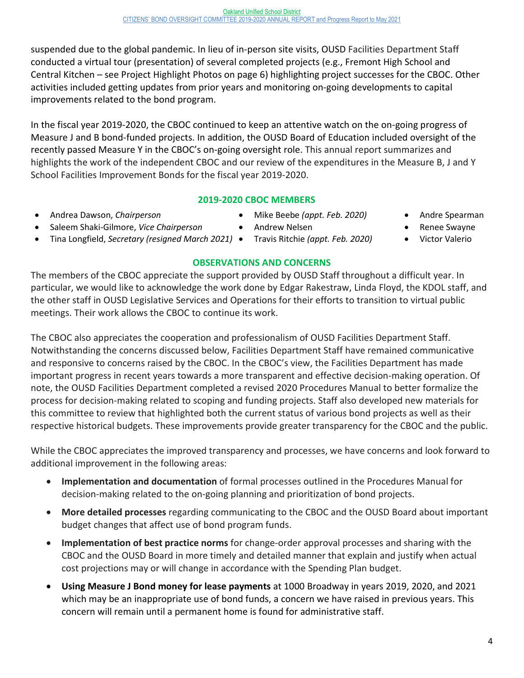suspended due to the global pandemic. In lieu of in-person site visits, OUSD Facilities Department Staff conducted a virtual tour (presentation) of several completed projects (e.g., Fremont High School and Central Kitchen – see Project Highlight Photos on page 6) highlighting project successes for the CBOC. Other activities included getting updates from prior years and monitoring on-going developments to capital improvements related to the bond program.

In the fiscal year 2019-2020, the CBOC continued to keep an attentive watch on the on-going progress of Measure J and B bond-funded projects. In addition, the OUSD Board of Education included oversight of the recently passed Measure Y in the CBOC's on-going oversight role. This annual report summarizes and highlights the work of the independent CBOC and our review of the expenditures in the Measure B, J and Y School Facilities Improvement Bonds for the fiscal year 2019-2020.

### **2019-2020 CBOC MEMBERS**

- Andrea Dawson, *Chairperson* Mike Beebe *(appt. Feb. 2020)* Andre Spearman
- Saleem Shaki-Gilmore, *Vice Chairperson* Andrew Nelsen Renee Swayne
- Tina Longfield, *Secretary (resigned March 2021)* Travis Ritchie *(appt. Feb. 2020)* Victor Valerio

#### **OBSERVATIONS AND CONCERNS**

The members of the CBOC appreciate the support provided by OUSD Staff throughout a difficult year. In particular, we would like to acknowledge the work done by Edgar Rakestraw, Linda Floyd, the KDOL staff, and the other staff in OUSD Legislative Services and Operations for their efforts to transition to virtual public meetings. Their work allows the CBOC to continue its work.

The CBOC also appreciates the cooperation and professionalism of OUSD Facilities Department Staff. Notwithstanding the concerns discussed below, Facilities Department Staff have remained communicative and responsive to concerns raised by the CBOC. In the CBOC's view, the Facilities Department has made important progress in recent years towards a more transparent and effective decision-making operation. Of note, the OUSD Facilities Department completed a revised 2020 Procedures Manual to better formalize the process for decision-making related to scoping and funding projects. Staff also developed new materials for this committee to review that highlighted both the current status of various bond projects as well as their respective historical budgets. These improvements provide greater transparency for the CBOC and the public.

While the CBOC appreciates the improved transparency and processes, we have concerns and look forward to additional improvement in the following areas:

- **Implementation and documentation** of formal processes outlined in the Procedures Manual for decision-making related to the on-going planning and prioritization of bond projects.
- **More detailed processes** regarding communicating to the CBOC and the OUSD Board about important budget changes that affect use of bond program funds.
- **Implementation of best practice norms** for change-order approval processes and sharing with the CBOC and the OUSD Board in more timely and detailed manner that explain and justify when actual cost projections may or will change in accordance with the Spending Plan budget.
- **Using Measure J Bond money for lease payments** at 1000 Broadway in years 2019, 2020, and 2021 which may be an inappropriate use of bond funds, a concern we have raised in previous years. This concern will remain until a permanent home is found for administrative staff.
- 
- 
-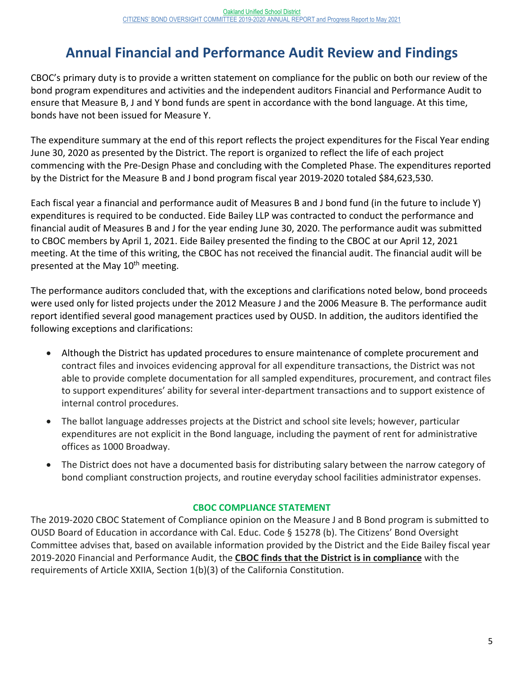# **Annual Financial and Performance Audit Review and Findings**

CBOC's primary duty is to provide a written statement on compliance for the public on both our review of the bond program expenditures and activities and the independent auditors Financial and Performance Audit to ensure that Measure B, J and Y bond funds are spent in accordance with the bond language. At this time, bonds have not been issued for Measure Y.

The expenditure summary at the end of this report reflects the project expenditures for the Fiscal Year ending June 30, 2020 as presented by the District. The report is organized to reflect the life of each project commencing with the Pre-Design Phase and concluding with the Completed Phase. The expenditures reported by the District for the Measure B and J bond program fiscal year 2019-2020 totaled \$84,623,530.

Each fiscal year a financial and performance audit of Measures B and J bond fund (in the future to include Y) expenditures is required to be conducted. Eide Bailey LLP was contracted to conduct the performance and financial audit of Measures B and J for the year ending June 30, 2020. The performance audit was submitted to CBOC members by April 1, 2021. Eide Bailey presented the finding to the CBOC at our April 12, 2021 meeting. At the time of this writing, the CBOC has not received the financial audit. The financial audit will be presented at the May 10<sup>th</sup> meeting.

The performance auditors concluded that, with the exceptions and clarifications noted below, bond proceeds were used only for listed projects under the 2012 Measure J and the 2006 Measure B. The performance audit report identified several good management practices used by OUSD. In addition, the auditors identified the following exceptions and clarifications:

- Although the District has updated procedures to ensure maintenance of complete procurement and contract files and invoices evidencing approval for all expenditure transactions, the District was not able to provide complete documentation for all sampled expenditures, procurement, and contract files to support expenditures' ability for several inter-department transactions and to support existence of internal control procedures.
- The ballot language addresses projects at the District and school site levels; however, particular expenditures are not explicit in the Bond language, including the payment of rent for administrative offices as 1000 Broadway.
- The District does not have a documented basis for distributing salary between the narrow category of bond compliant construction projects, and routine everyday school facilities administrator expenses.

#### **CBOC COMPLIANCE STATEMENT**

The 2019-2020 CBOC Statement of Compliance opinion on the Measure J and B Bond program is submitted to OUSD Board of Education in accordance with Cal. Educ. Code § 15278 (b). The Citizens' Bond Oversight Committee advises that, based on available information provided by the District and the Eide Bailey fiscal year 2019-2020 Financial and Performance Audit, the **CBOC finds that the District is in compliance** with the requirements of Article XXIIA, Section 1(b)(3) of the California Constitution.